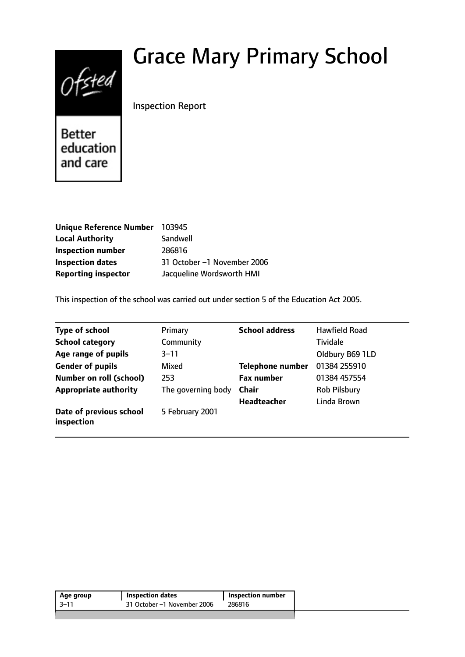# Grace Mary Primary School



Inspection Report

**Better** education and care

| <b>Unique Reference Number</b> | 103945                      |
|--------------------------------|-----------------------------|
| <b>Local Authority</b>         | Sandwell                    |
| <b>Inspection number</b>       | 286816                      |
| <b>Inspection dates</b>        | 31 October -1 November 2006 |
| <b>Reporting inspector</b>     | Jacqueline Wordsworth HMI   |

This inspection of the school was carried out under section 5 of the Education Act 2005.

| <b>Type of school</b>                 | Primary            | <b>School address</b>   | <b>Hawfield Road</b> |
|---------------------------------------|--------------------|-------------------------|----------------------|
| <b>School category</b>                | Community          |                         | <b>Tividale</b>      |
| Age range of pupils                   | 3–11               |                         | Oldbury B69 1LD      |
| <b>Gender of pupils</b>               | Mixed              | <b>Telephone number</b> | 01384 255910         |
| <b>Number on roll (school)</b>        | 253                | <b>Fax number</b>       | 01384 457554         |
| <b>Appropriate authority</b>          | The governing body | <b>Chair</b>            | <b>Rob Pilsbury</b>  |
|                                       |                    | <b>Headteacher</b>      | Linda Brown          |
| Date of previous school<br>inspection | 5 February 2001    |                         |                      |

| Age group | Inspection dates            | Inspection number |
|-----------|-----------------------------|-------------------|
| $-3 - 11$ | 31 October -1 November 2006 | 286816            |
|           |                             |                   |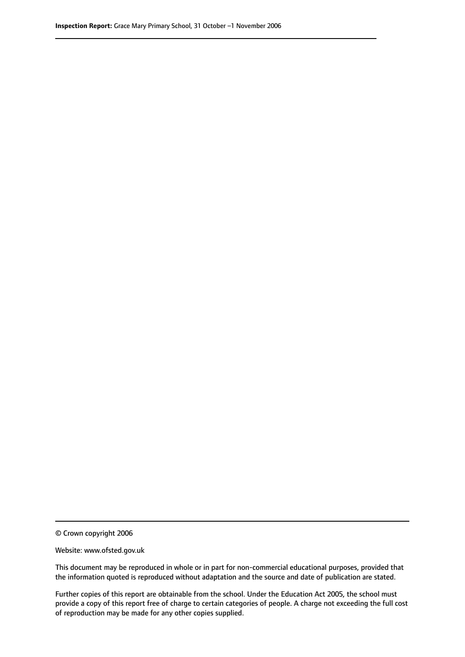© Crown copyright 2006

Website: www.ofsted.gov.uk

This document may be reproduced in whole or in part for non-commercial educational purposes, provided that the information quoted is reproduced without adaptation and the source and date of publication are stated.

Further copies of this report are obtainable from the school. Under the Education Act 2005, the school must provide a copy of this report free of charge to certain categories of people. A charge not exceeding the full cost of reproduction may be made for any other copies supplied.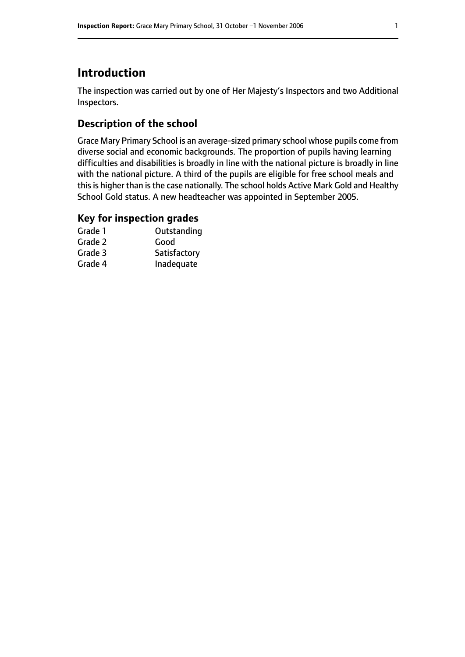# **Introduction**

The inspection was carried out by one of Her Majesty's Inspectors and two Additional Inspectors.

# **Description of the school**

Grace Mary Primary School is an average-sized primary school whose pupils come from diverse social and economic backgrounds. The proportion of pupils having learning difficulties and disabilities is broadly in line with the national picture is broadly in line with the national picture. A third of the pupils are eligible for free school meals and this is higher than is the case nationally. The school holds Active Mark Gold and Healthy School Gold status. A new headteacher was appointed in September 2005.

### **Key for inspection grades**

| Grade 1 | Outstanding  |
|---------|--------------|
| Grade 2 | Good         |
| Grade 3 | Satisfactory |
| Grade 4 | Inadequate   |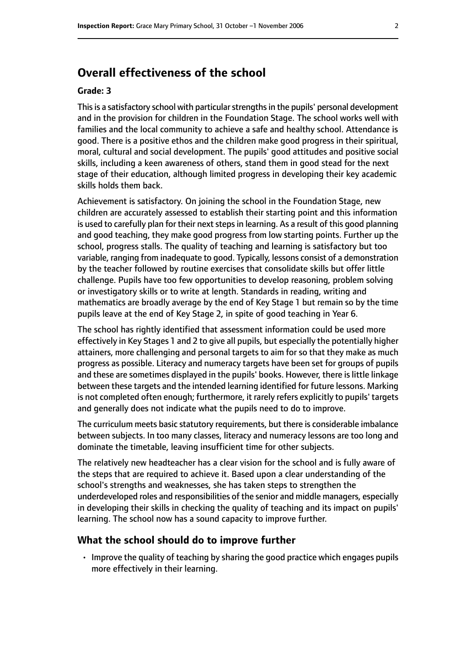# **Overall effectiveness of the school**

#### **Grade: 3**

This is a satisfactory school with particular strengths in the pupils' personal development and in the provision for children in the Foundation Stage. The school works well with families and the local community to achieve a safe and healthy school. Attendance is good. There is a positive ethos and the children make good progress in their spiritual, moral, cultural and social development. The pupils' good attitudes and positive social skills, including a keen awareness of others, stand them in good stead for the next stage of their education, although limited progress in developing their key academic skills holds them back.

Achievement is satisfactory. On joining the school in the Foundation Stage, new children are accurately assessed to establish their starting point and this information is used to carefully plan for their next steps in learning. As a result of this good planning and good teaching, they make good progress from low starting points. Further up the school, progress stalls. The quality of teaching and learning is satisfactory but too variable, ranging from inadequate to good. Typically, lessons consist of a demonstration by the teacher followed by routine exercises that consolidate skills but offer little challenge. Pupils have too few opportunities to develop reasoning, problem solving or investigatory skills or to write at length. Standards in reading, writing and mathematics are broadly average by the end of Key Stage 1 but remain so by the time pupils leave at the end of Key Stage 2, in spite of good teaching in Year 6.

The school has rightly identified that assessment information could be used more effectively in Key Stages 1 and 2 to give all pupils, but especially the potentially higher attainers, more challenging and personal targets to aim for so that they make as much progress as possible. Literacy and numeracy targets have been set for groups of pupils and these are sometimes displayed in the pupils' books. However, there is little linkage between these targets and the intended learning identified for future lessons. Marking is not completed often enough; furthermore, it rarely refers explicitly to pupils' targets and generally does not indicate what the pupils need to do to improve.

The curriculum meets basic statutory requirements, but there is considerable imbalance between subjects. In too many classes, literacy and numeracy lessons are too long and dominate the timetable, leaving insufficient time for other subjects.

The relatively new headteacher has a clear vision for the school and is fully aware of the steps that are required to achieve it. Based upon a clear understanding of the school's strengths and weaknesses, she has taken steps to strengthen the underdeveloped roles and responsibilities of the senior and middle managers, especially in developing their skills in checking the quality of teaching and its impact on pupils' learning. The school now has a sound capacity to improve further.

#### **What the school should do to improve further**

• Improve the quality of teaching by sharing the good practice which engages pupils more effectively in their learning.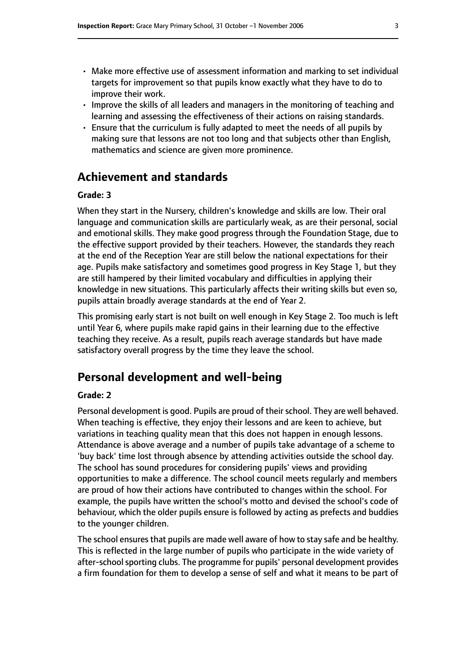- Make more effective use of assessment information and marking to set individual targets for improvement so that pupils know exactly what they have to do to improve their work.
- Improve the skills of all leaders and managers in the monitoring of teaching and learning and assessing the effectiveness of their actions on raising standards.
- Ensure that the curriculum is fully adapted to meet the needs of all pupils by making sure that lessons are not too long and that subjects other than English, mathematics and science are given more prominence.

# **Achievement and standards**

#### **Grade: 3**

When they start in the Nursery, children's knowledge and skills are low. Their oral language and communication skills are particularly weak, as are their personal, social and emotional skills. They make good progress through the Foundation Stage, due to the effective support provided by their teachers. However, the standards they reach at the end of the Reception Year are still below the national expectations for their age. Pupils make satisfactory and sometimes good progress in Key Stage 1, but they are still hampered by their limited vocabulary and difficulties in applying their knowledge in new situations. This particularly affects their writing skills but even so, pupils attain broadly average standards at the end of Year 2.

This promising early start is not built on well enough in Key Stage 2. Too much is left until Year 6, where pupils make rapid gains in their learning due to the effective teaching they receive. As a result, pupils reach average standards but have made satisfactory overall progress by the time they leave the school.

# **Personal development and well-being**

#### **Grade: 2**

Personal development is good. Pupils are proud of their school. They are well behaved. When teaching is effective, they enjoy their lessons and are keen to achieve, but variations in teaching quality mean that this does not happen in enough lessons. Attendance is above average and a number of pupils take advantage of a scheme to 'buy back' time lost through absence by attending activities outside the school day. The school has sound procedures for considering pupils' views and providing opportunities to make a difference. The school council meets regularly and members are proud of how their actions have contributed to changes within the school. For example, the pupils have written the school's motto and devised the school's code of behaviour, which the older pupils ensure is followed by acting as prefects and buddies to the younger children.

The school ensures that pupils are made well aware of how to stay safe and be healthy. This is reflected in the large number of pupils who participate in the wide variety of after-school sporting clubs. The programme for pupils' personal development provides a firm foundation for them to develop a sense of self and what it means to be part of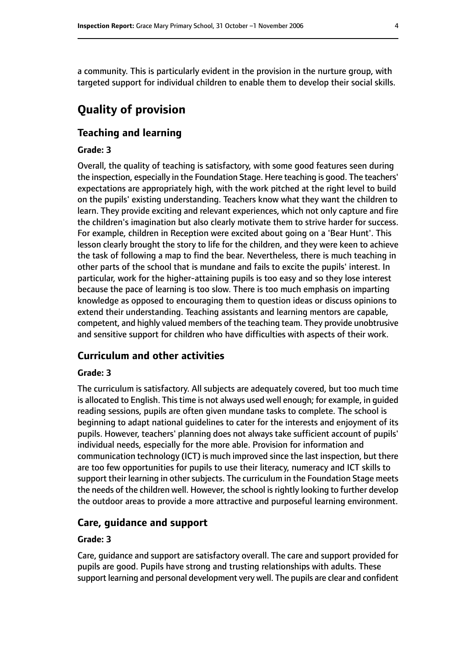a community. This is particularly evident in the provision in the nurture group, with targeted support for individual children to enable them to develop their social skills.

# **Quality of provision**

#### **Teaching and learning**

#### **Grade: 3**

Overall, the quality of teaching is satisfactory, with some good features seen during the inspection, especially in the Foundation Stage. Here teaching is good. The teachers' expectations are appropriately high, with the work pitched at the right level to build on the pupils' existing understanding. Teachers know what they want the children to learn. They provide exciting and relevant experiences, which not only capture and fire the children's imagination but also clearly motivate them to strive harder for success. For example, children in Reception were excited about going on a 'Bear Hunt'. This lesson clearly brought the story to life for the children, and they were keen to achieve the task of following a map to find the bear. Nevertheless, there is much teaching in other parts of the school that is mundane and fails to excite the pupils' interest. In particular, work for the higher-attaining pupils is too easy and so they lose interest because the pace of learning is too slow. There is too much emphasis on imparting knowledge as opposed to encouraging them to question ideas or discuss opinions to extend their understanding. Teaching assistants and learning mentors are capable, competent, and highly valued members of the teaching team. They provide unobtrusive and sensitive support for children who have difficulties with aspects of their work.

#### **Curriculum and other activities**

#### **Grade: 3**

The curriculum is satisfactory. All subjects are adequately covered, but too much time is allocated to English. This time is not always used well enough; for example, in guided reading sessions, pupils are often given mundane tasks to complete. The school is beginning to adapt national guidelines to cater for the interests and enjoyment of its pupils. However, teachers' planning does not always take sufficient account of pupils' individual needs, especially for the more able. Provision for information and communication technology (ICT) is much improved since the last inspection, but there are too few opportunities for pupils to use their literacy, numeracy and ICT skills to support their learning in other subjects. The curriculum in the Foundation Stage meets the needs of the children well. However, the school is rightly looking to further develop the outdoor areas to provide a more attractive and purposeful learning environment.

#### **Care, guidance and support**

#### **Grade: 3**

Care, guidance and support are satisfactory overall. The care and support provided for pupils are good. Pupils have strong and trusting relationships with adults. These support learning and personal development very well. The pupils are clear and confident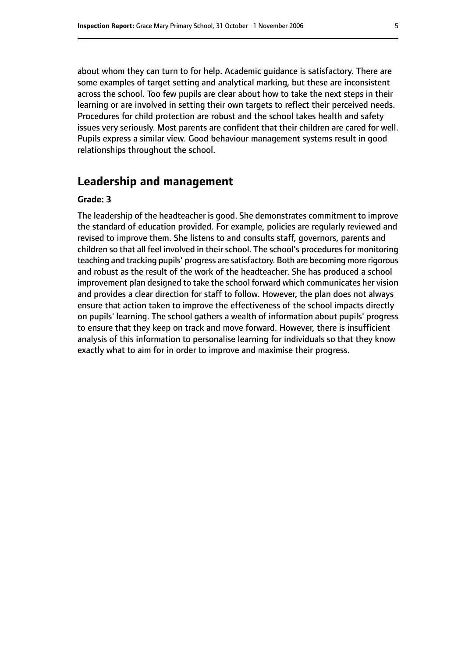about whom they can turn to for help. Academic guidance is satisfactory. There are some examples of target setting and analytical marking, but these are inconsistent across the school. Too few pupils are clear about how to take the next steps in their learning or are involved in setting their own targets to reflect their perceived needs. Procedures for child protection are robust and the school takes health and safety issues very seriously. Most parents are confident that their children are cared for well. Pupils express a similar view. Good behaviour management systems result in good relationships throughout the school.

## **Leadership and management**

#### **Grade: 3**

The leadership of the headteacher is good. She demonstrates commitment to improve the standard of education provided. For example, policies are regularly reviewed and revised to improve them. She listens to and consults staff, governors, parents and children so that all feel involved in their school. The school's procedures for monitoring teaching and tracking pupils' progress are satisfactory. Both are becoming more rigorous and robust as the result of the work of the headteacher. She has produced a school improvement plan designed to take the school forward which communicates her vision and provides a clear direction for staff to follow. However, the plan does not always ensure that action taken to improve the effectiveness of the school impacts directly on pupils' learning. The school gathers a wealth of information about pupils' progress to ensure that they keep on track and move forward. However, there is insufficient analysis of this information to personalise learning for individuals so that they know exactly what to aim for in order to improve and maximise their progress.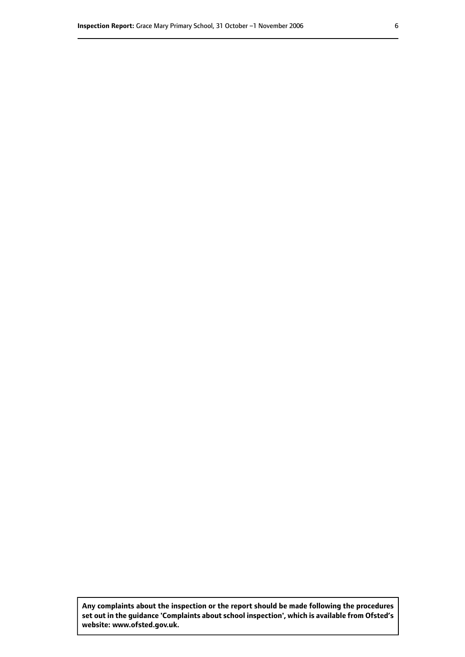**Any complaints about the inspection or the report should be made following the procedures set out inthe guidance 'Complaints about school inspection', whichis available from Ofsted's website: www.ofsted.gov.uk.**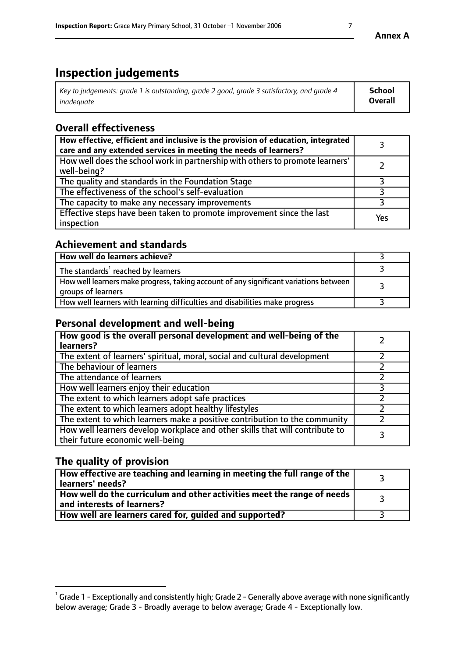# **Inspection judgements**

| Key to judgements: grade 1 is outstanding, grade 2 good, grade 3 satisfactory, and grade 4 | School         |
|--------------------------------------------------------------------------------------------|----------------|
| inadeauate                                                                                 | <b>Overall</b> |

# **Overall effectiveness**

| How effective, efficient and inclusive is the provision of education, integrated<br>care and any extended services in meeting the needs of learners? |     |
|------------------------------------------------------------------------------------------------------------------------------------------------------|-----|
| How well does the school work in partnership with others to promote learners'<br>well-being?                                                         |     |
| The quality and standards in the Foundation Stage                                                                                                    |     |
| The effectiveness of the school's self-evaluation                                                                                                    |     |
| The capacity to make any necessary improvements                                                                                                      |     |
| Effective steps have been taken to promote improvement since the last<br>inspection                                                                  | Yes |

## **Achievement and standards**

| How well do learners achieve?                                                                               |  |
|-------------------------------------------------------------------------------------------------------------|--|
| The standards <sup>1</sup> reached by learners                                                              |  |
| How well learners make progress, taking account of any significant variations between<br>groups of learners |  |
| How well learners with learning difficulties and disabilities make progress                                 |  |

## **Personal development and well-being**

| How good is the overall personal development and well-being of the<br>learners?                                  |  |
|------------------------------------------------------------------------------------------------------------------|--|
| The extent of learners' spiritual, moral, social and cultural development                                        |  |
| The behaviour of learners                                                                                        |  |
| The attendance of learners                                                                                       |  |
| How well learners enjoy their education                                                                          |  |
| The extent to which learners adopt safe practices                                                                |  |
| The extent to which learners adopt healthy lifestyles                                                            |  |
| The extent to which learners make a positive contribution to the community                                       |  |
| How well learners develop workplace and other skills that will contribute to<br>their future economic well-being |  |

## **The quality of provision**

| How effective are teaching and learning in meeting the full range of the<br>  learners' needs?                      |  |
|---------------------------------------------------------------------------------------------------------------------|--|
| $\mid$ How well do the curriculum and other activities meet the range of needs<br>$\mid$ and interests of learners? |  |
| How well are learners cared for, quided and supported?                                                              |  |

 $^1$  Grade 1 - Exceptionally and consistently high; Grade 2 - Generally above average with none significantly below average; Grade 3 - Broadly average to below average; Grade 4 - Exceptionally low.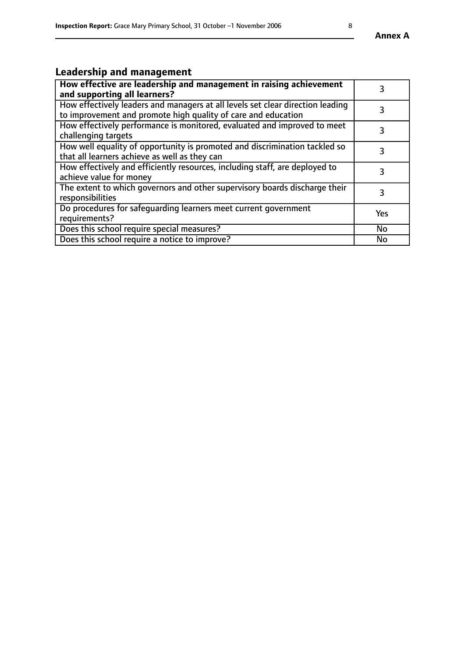# **Leadership and management**

| How effective are leadership and management in raising achievement<br>and supporting all learners?                                              |           |
|-------------------------------------------------------------------------------------------------------------------------------------------------|-----------|
| How effectively leaders and managers at all levels set clear direction leading<br>to improvement and promote high quality of care and education |           |
| How effectively performance is monitored, evaluated and improved to meet<br>challenging targets                                                 | 3         |
| How well equality of opportunity is promoted and discrimination tackled so<br>that all learners achieve as well as they can                     |           |
| How effectively and efficiently resources, including staff, are deployed to<br>achieve value for money                                          | 3         |
| The extent to which governors and other supervisory boards discharge their<br>responsibilities                                                  | 3         |
| Do procedures for safequarding learners meet current government<br>requirements?                                                                | Yes       |
| Does this school require special measures?                                                                                                      | No        |
| Does this school require a notice to improve?                                                                                                   | <b>No</b> |